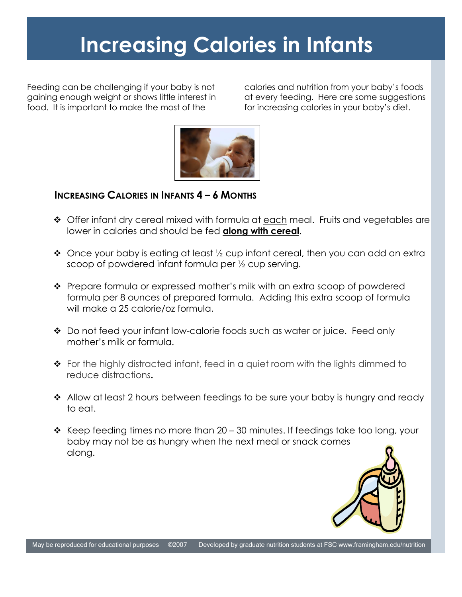## **Increasing Calories in Infants**

Feeding can be challenging if your baby is not gaining enough weight or shows little interest in food. It is important to make the most of the

calories and nutrition from your baby's foods at every feeding. Here are some suggestions for increasing calories in your baby's diet.



## **INCREASING CALORIES IN INFANTS 4 – 6 MONTHS**

- ◆ Offer infant dry cereal mixed with formula at each meal. Fruits and vegetables are lower in calories and should be fed **along with cereal**.
- $\cdot$  Once your baby is eating at least  $\frac{1}{2}$  cup infant cereal, then you can add an extra scoop of powdered infant formula per ½ cup serving.
- ◆ Prepare formula or expressed mother's milk with an extra scoop of powdered formula per 8 ounces of prepared formula. Adding this extra scoop of formula will make a 25 calorie/oz formula.
- Do not feed your infant low-calorie foods such as water or juice. Feed only mother's milk or formula.
- For the highly distracted infant, feed in a quiet room with the lights dimmed to reduce distractions**.**
- ❖ Allow at least 2 hours between feedings to be sure your baby is hungry and ready to eat.
- $\cdot$  Keep feeding times no more than 20 30 minutes. If feedings take too long, your baby may not be as hungry when the next meal or snack comes along.